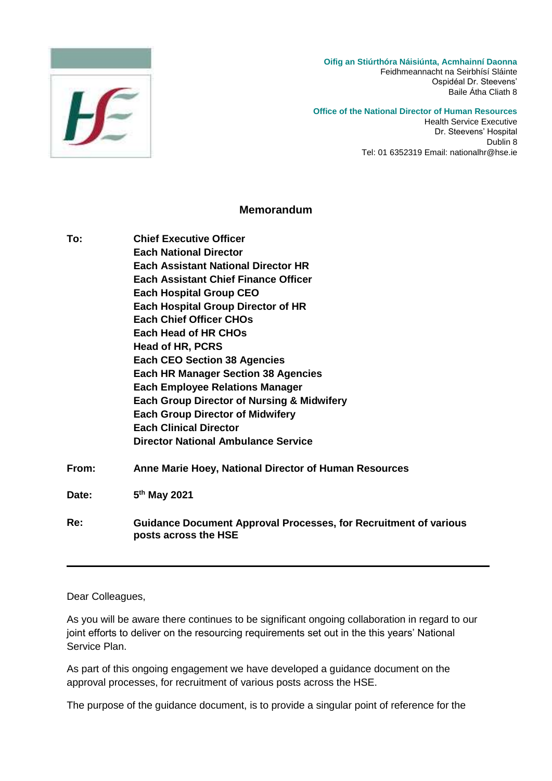

## **Office of the National Director of Human Resources**

Health Service Executive Dr. Steevens' Hospital Dublin 8 Tel: 01 6352319 Email: nationalhr@hse.ie

## **Memorandum**

**To: Chief Executive Officer Each National Director Each Assistant National Director HR Each Assistant Chief Finance Officer Each Hospital Group CEO Each Hospital Group Director of HR Each Chief Officer CHOs Each Head of HR CHOs Head of HR, PCRS Each CEO Section 38 Agencies Each HR Manager Section 38 Agencies Each Employee Relations Manager Each Group Director of Nursing & Midwifery Each Group Director of Midwifery Each Clinical Director Director National Ambulance Service From: Anne Marie Hoey, National Director of Human Resources**

Date: **th May 2021**

**Re: Guidance Document Approval Processes, for Recruitment of various posts across the HSE**

## Dear Colleagues,

As you will be aware there continues to be significant ongoing collaboration in regard to our joint efforts to deliver on the resourcing requirements set out in the this years' National Service Plan.

As part of this ongoing engagement we have developed a guidance document on the approval processes, for recruitment of various posts across the HSE.

The purpose of the guidance document, is to provide a singular point of reference for the